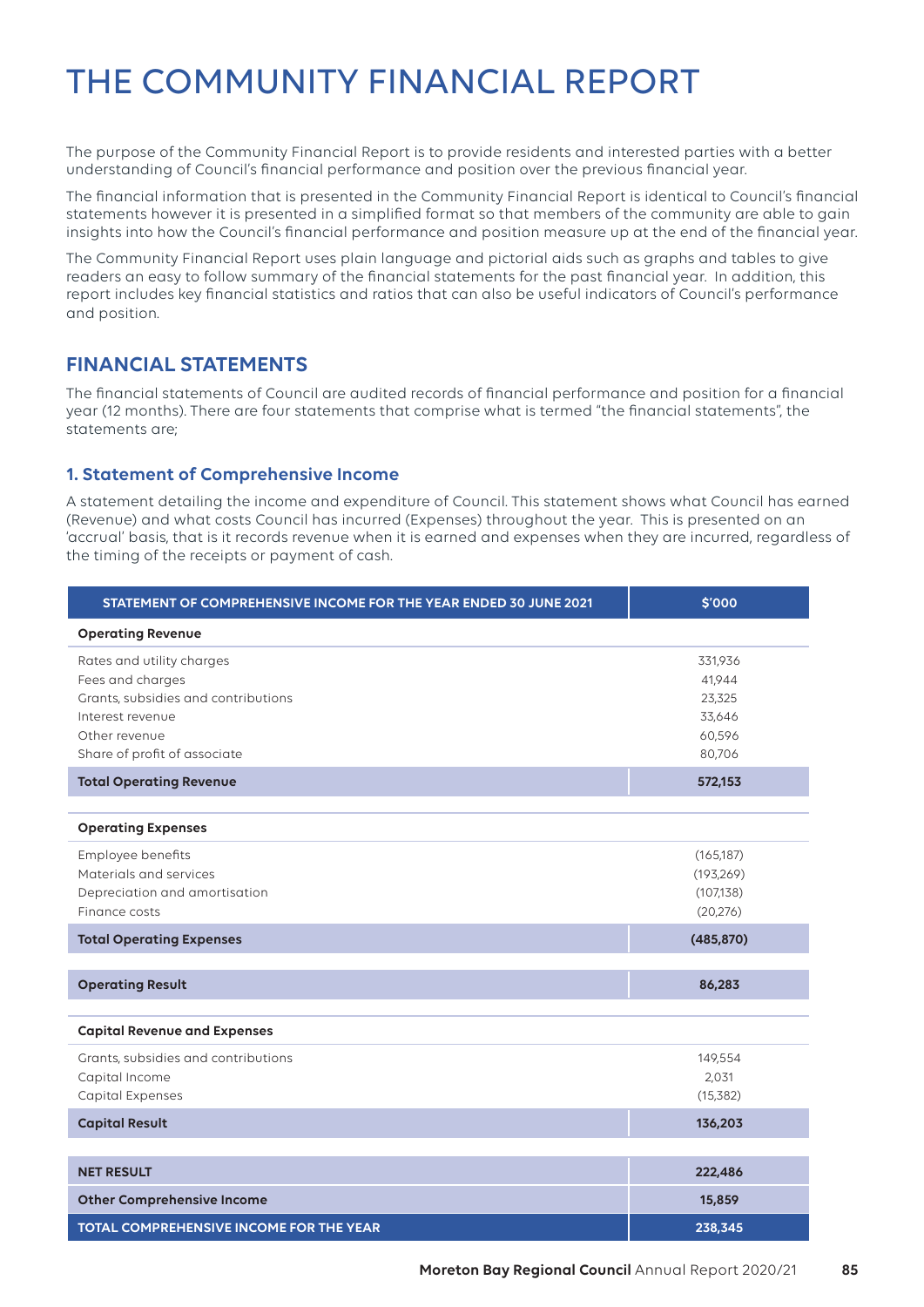# THE COMMUNITY FINANCIAL REPORT

The purpose of the Community Financial Report is to provide residents and interested parties with a better understanding of Council's financial performance and position over the previous financial year.

The financial information that is presented in the Community Financial Report is identical to Council's financial statements however it is presented in a simplified format so that members of the community are able to gain insights into how the Council's financial performance and position measure up at the end of the financial year.

The Community Financial Report uses plain language and pictorial aids such as graphs and tables to give readers an easy to follow summary of the financial statements for the past financial year. In addition, this report includes key financial statistics and ratios that can also be useful indicators of Council's performance and position.

# **FINANCIAL STATEMENTS**

The financial statements of Council are audited records of financial performance and position for a financial year (12 months). There are four statements that comprise what is termed "the financial statements", the statements are;

### **1. Statement of Comprehensive Income**

A statement detailing the income and expenditure of Council. This statement shows what Council has earned (Revenue) and what costs Council has incurred (Expenses) throughout the year. This is presented on an 'accrual' basis, that is it records revenue when it is earned and expenses when they are incurred, regardless of the timing of the receipts or payment of cash.

| STATEMENT OF COMPREHENSIVE INCOME FOR THE YEAR ENDED 30 JUNE 2021                                                                                         | \$'000                                                    |
|-----------------------------------------------------------------------------------------------------------------------------------------------------------|-----------------------------------------------------------|
| <b>Operating Revenue</b>                                                                                                                                  |                                                           |
| Rates and utility charges<br>Fees and charges<br>Grants, subsidies and contributions<br>Interest revenue<br>Other revenue<br>Share of profit of associate | 331,936<br>41,944<br>23,325<br>33,646<br>60,596<br>80,706 |
| <b>Total Operating Revenue</b>                                                                                                                            | 572,153                                                   |
| <b>Operating Expenses</b>                                                                                                                                 |                                                           |
| Employee benefits<br>Materials and services<br>Depreciation and amortisation<br>Finance costs                                                             | (165, 187)<br>(193, 269)<br>(107, 138)<br>(20, 276)       |
| <b>Total Operating Expenses</b>                                                                                                                           | (485, 870)                                                |
| <b>Operating Result</b>                                                                                                                                   | 86,283                                                    |
| <b>Capital Revenue and Expenses</b>                                                                                                                       |                                                           |
| Grants, subsidies and contributions<br>Capital Income<br><b>Capital Expenses</b>                                                                          | 149,554<br>2,031<br>(15, 382)                             |
| <b>Capital Result</b>                                                                                                                                     | 136,203                                                   |
|                                                                                                                                                           |                                                           |
| <b>NET RESULT</b>                                                                                                                                         | 222,486                                                   |
| <b>Other Comprehensive Income</b>                                                                                                                         | 15,859                                                    |
| TOTAL COMPREHENSIVE INCOME FOR THE YEAR                                                                                                                   | 238,345                                                   |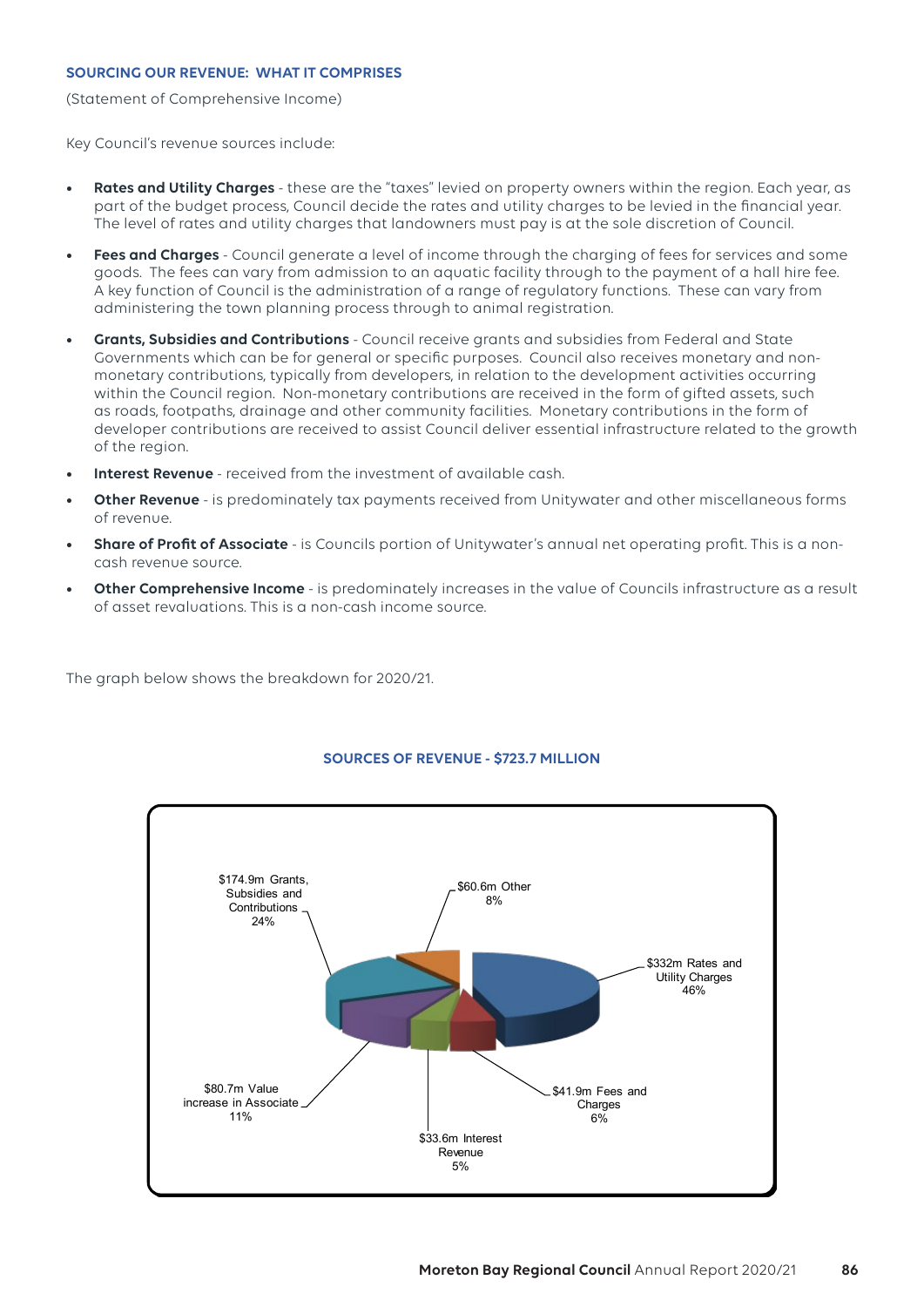#### **SOURCING OUR REVENUE: WHAT IT COMPRISES**

(Statement of Comprehensive Income)

Key Council's revenue sources include:

- **• Rates and Utility Charges** these are the "taxes" levied on property owners within the region. Each year, as part of the budget process, Council decide the rates and utility charges to be levied in the financial year. The level of rates and utility charges that landowners must pay is at the sole discretion of Council.
- **• Fees and Charges** Council generate a level of income through the charging of fees for services and some goods. The fees can vary from admission to an aquatic facility through to the payment of a hall hire fee. A key function of Council is the administration of a range of regulatory functions. These can vary from administering the town planning process through to animal registration.
- **• Grants, Subsidies and Contributions** Council receive grants and subsidies from Federal and State Governments which can be for general or specific purposes. Council also receives monetary and nonmonetary contributions, typically from developers, in relation to the development activities occurring within the Council region. Non-monetary contributions are received in the form of gifted assets, such as roads, footpaths, drainage and other community facilities. Monetary contributions in the form of developer contributions are received to assist Council deliver essential infrastructure related to the growth of the region.
- **• Interest Revenue** received from the investment of available cash.
- **• Other Revenue** is predominately tax payments received from Unitywater and other miscellaneous forms of revenue.
- **• Share of Profit of Associate** is Councils portion of Unitywater's annual net operating profit. This is a noncash revenue source.
- **• Other Comprehensive Income** is predominately increases in the value of Councils infrastructure as a result of asset revaluations. This is a non-cash income source.

The graph below shows the breakdown for 2020/21.



#### **SOURCES OF REVENUE - \$723.7 MILLION**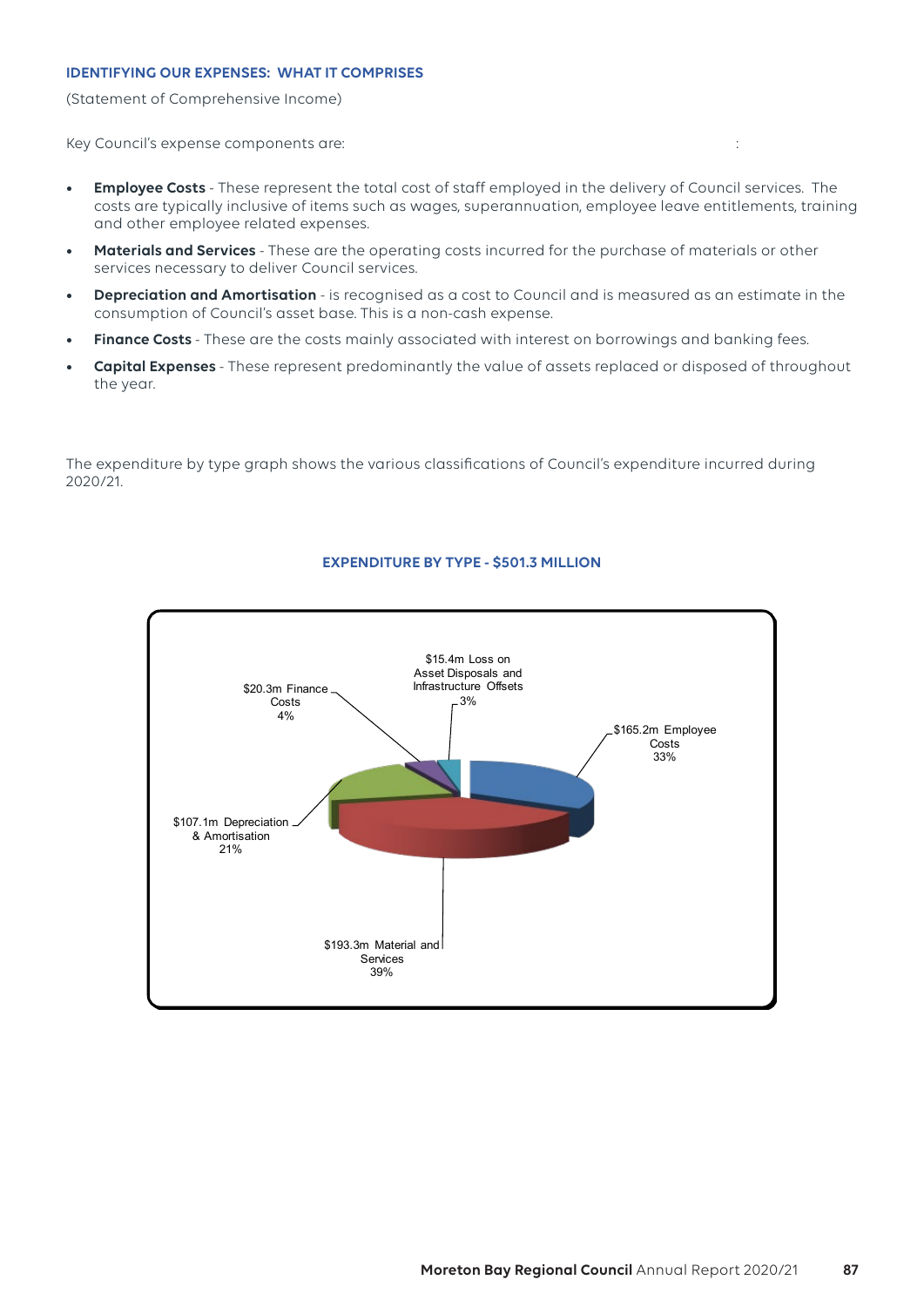#### **IDENTIFYING OUR EXPENSES: WHAT IT COMPRISES**

(Statement of Comprehensive Income)

Key Council's expense components are: :

- **• Employee Costs** These represent the total cost of staff employed in the delivery of Council services. The costs are typically inclusive of items such as wages, superannuation, employee leave entitlements, training and other employee related expenses.
- **• Materials and Services** These are the operating costs incurred for the purchase of materials or other services necessary to deliver Council services.
- **• Depreciation and Amortisation** is recognised as a cost to Council and is measured as an estimate in the consumption of Council's asset base. This is a non-cash expense.
- **• Finance Costs**  These are the costs mainly associated with interest on borrowings and banking fees.
- **• Capital Expenses**  These represent predominantly the value of assets replaced or disposed of throughout the year.

The expenditure by type graph shows the various classifications of Council's expenditure incurred during 2020/21.



#### **EXPENDITURE BY TYPE - \$501.3 MILLION**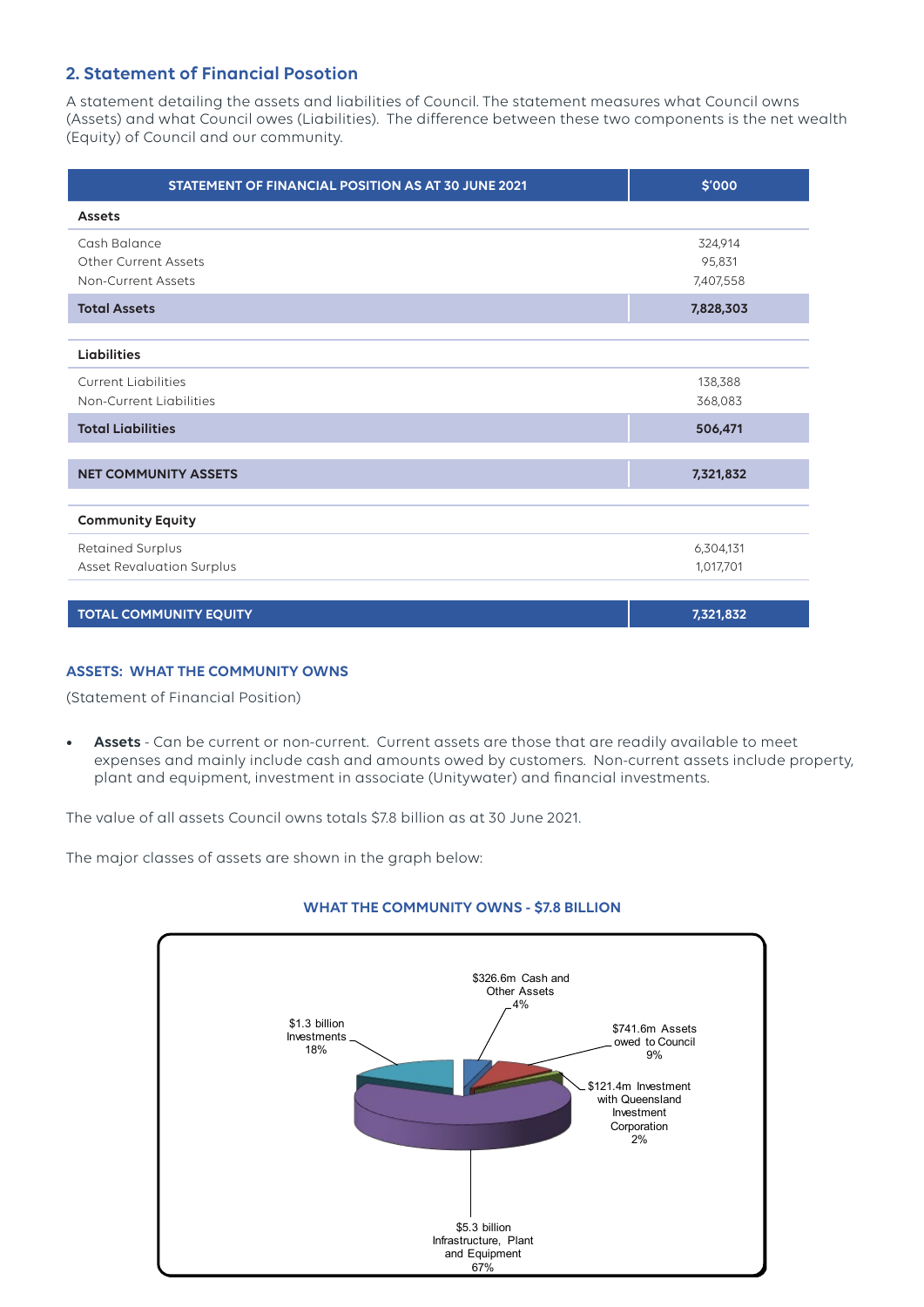### **2. Statement of Financial Posotion**

A statement detailing the assets and liabilities of Council. The statement measures what Council owns (Assets) and what Council owes (Liabilities). The difference between these two components is the net wealth (Equity) of Council and our community.

| STATEMENT OF FINANCIAL POSITION AS AT 30 JUNE 2021                | \$'000                         |
|-------------------------------------------------------------------|--------------------------------|
| <b>Assets</b>                                                     |                                |
| Cash Balance<br><b>Other Current Assets</b><br>Non-Current Assets | 324,914<br>95,831<br>7,407,558 |
| <b>Total Assets</b>                                               | 7,828,303                      |
| <b>Liabilities</b>                                                |                                |
| <b>Current Liabilities</b><br>Non-Current Liabilities             | 138,388<br>368,083             |
| <b>Total Liabilities</b>                                          | 506,471                        |
| <b>NET COMMUNITY ASSETS</b>                                       | 7,321,832                      |
| <b>Community Equity</b>                                           |                                |
| Retained Surplus<br><b>Asset Revaluation Surplus</b>              | 6,304,131<br>1,017,701         |

**TOTAL COMMUNITY EQUITY 7,321,832**

#### **ASSETS: WHAT THE COMMUNITY OWNS**

(Statement of Financial Position)

**• Assets** - Can be current or non-current. Current assets are those that are readily available to meet expenses and mainly include cash and amounts owed by customers. Non-current assets include property, plant and equipment, investment in associate (Unitywater) and financial investments.

The value of all assets Council owns totals \$7.8 billion as at 30 June 2021.

The major classes of assets are shown in the graph below:

![](_page_3_Figure_9.jpeg)

![](_page_3_Figure_10.jpeg)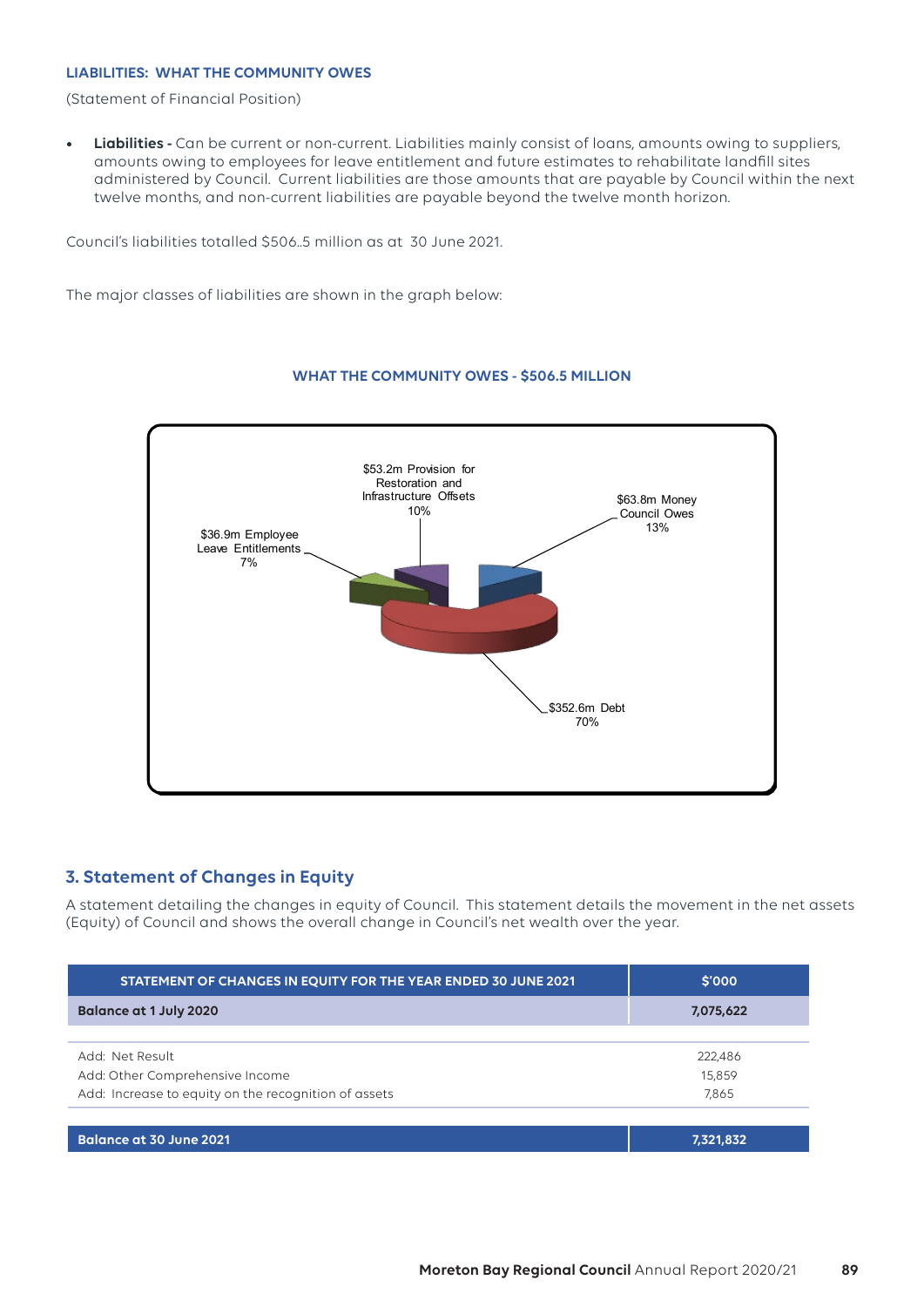#### **LIABILITIES: WHAT THE COMMUNITY OWES**

(Statement of Financial Position)

**• Liabilities -** Can be current or non-current. Liabilities mainly consist of loans, amounts owing to suppliers, amounts owing to employees for leave entitlement and future estimates to rehabilitate landfill sites administered by Council. Current liabilities are those amounts that are payable by Council within the next twelve months, and non-current liabilities are payable beyond the twelve month horizon.

Council's liabilities totalled \$506..5 million as at 30 June 2021.

The major classes of liabilities are shown in the graph below:

![](_page_4_Figure_5.jpeg)

#### **WHAT THE COMMUNITY OWES - \$506.5 MILLION**

#### **3. Statement of Changes in Equity**

A statement detailing the changes in equity of Council. This statement details the movement in the net assets (Equity) of Council and shows the overall change in Council's net wealth over the year.

| STATEMENT OF CHANGES IN EQUITY FOR THE YEAR ENDED 30 JUNE 2021 | \$'000    |
|----------------------------------------------------------------|-----------|
| Balance at 1 July 2020                                         | 7,075,622 |
|                                                                |           |
| Add: Net Result                                                | 222,486   |
| Add: Other Comprehensive Income                                | 15,859    |
| Add: Increase to equity on the recognition of assets           | 7,865     |
|                                                                |           |
| Balance at 30 June 2021                                        | 7,321,832 |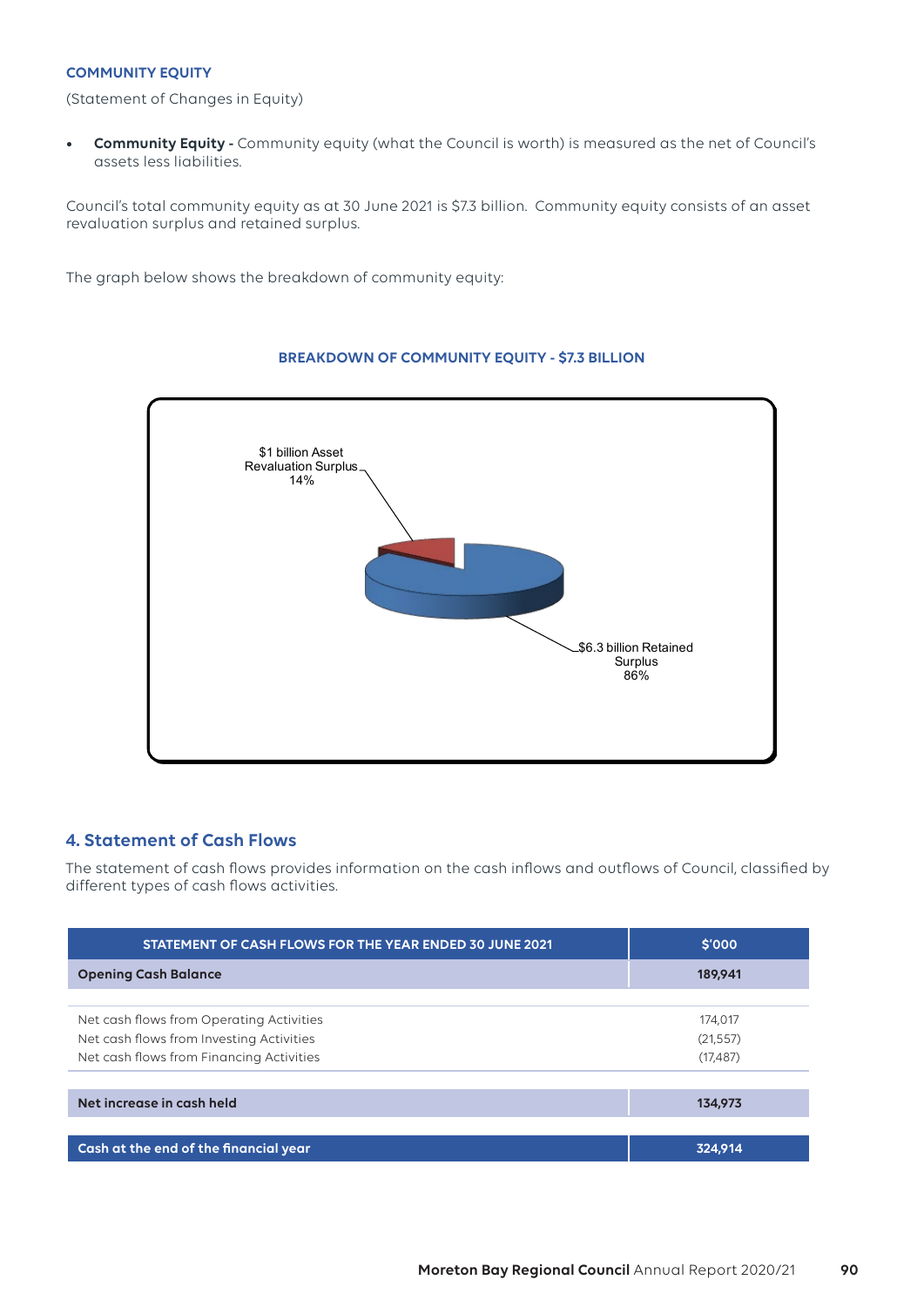#### **COMMUNITY EQUITY**

(Statement of Changes in Equity)

**• Community Equity -** Community equity (what the Council is worth) is measured as the net of Council's assets less liabilities.

Council's total community equity as at 30 June 2021 is \$7.3 billion. Community equity consists of an asset revaluation surplus and retained surplus.

The graph below shows the breakdown of community equity:

![](_page_5_Figure_5.jpeg)

#### **BREAKDOWN OF COMMUNITY EQUITY - \$7.3 BILLION**

### **4. Statement of Cash Flows**

The statement of cash flows provides information on the cash inflows and outflows of Council, classified by different types of cash flows activities.

| STATEMENT OF CASH FLOWS FOR THE YEAR ENDED 30 JUNE 2021 | \$'000    |
|---------------------------------------------------------|-----------|
| <b>Opening Cash Balance</b>                             | 189,941   |
|                                                         |           |
| Net cash flows from Operating Activities                | 174.017   |
| Net cash flows from Investing Activities                | (21, 557) |
| Net cash flows from Financing Activities                | (17, 487) |
| Net increase in cash held                               | 134,973   |
|                                                         |           |
| Cash at the end of the financial year                   | 324.914   |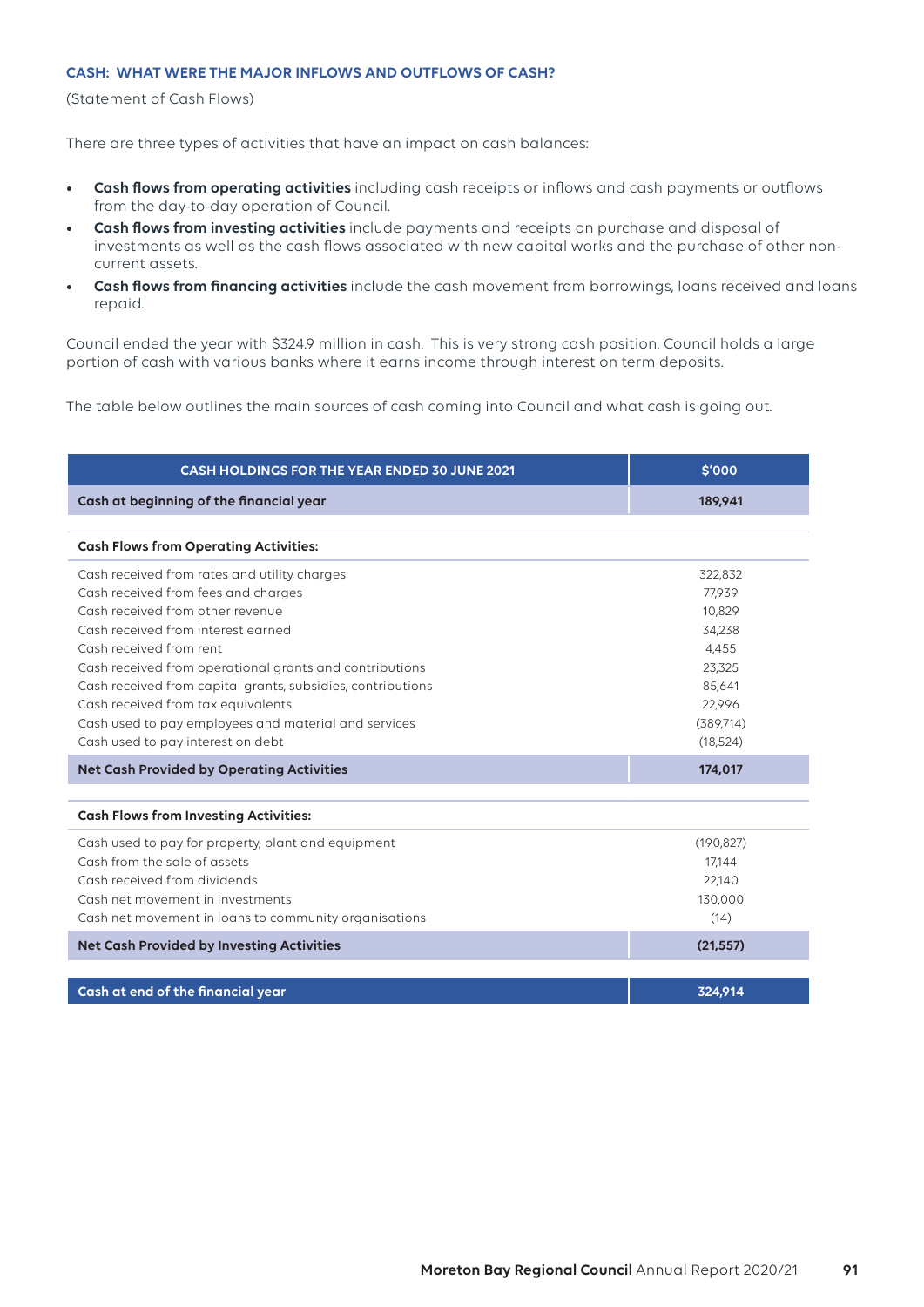#### **CASH: WHAT WERE THE MAJOR INFLOWS AND OUTFLOWS OF CASH?**

(Statement of Cash Flows)

There are three types of activities that have an impact on cash balances:

- **• Cash flows from operating activities** including cash receipts or inflows and cash payments or outflows from the day-to-day operation of Council.
- **• Cash flows from investing activities** include payments and receipts on purchase and disposal of investments as well as the cash flows associated with new capital works and the purchase of other noncurrent assets.
- **• Cash flows from financing activities** include the cash movement from borrowings, loans received and loans repaid.

Council ended the year with \$324.9 million in cash. This is very strong cash position. Council holds a large portion of cash with various banks where it earns income through interest on term deposits.

The table below outlines the main sources of cash coming into Council and what cash is going out.

| <b>CASH HOLDINGS FOR THE YEAR ENDED 30 JUNE 2021</b>        | \$'000     |
|-------------------------------------------------------------|------------|
| Cash at beginning of the financial year                     | 189,941    |
|                                                             |            |
| <b>Cash Flows from Operating Activities:</b>                |            |
| Cash received from rates and utility charges                | 322,832    |
| Cash received from fees and charges                         | 77,939     |
| Cash received from other revenue                            | 10,829     |
| Cash received from interest earned                          | 34,238     |
| Cash received from rent                                     | 4,455      |
| Cash received from operational grants and contributions     | 23,325     |
| Cash received from capital grants, subsidies, contributions | 85,641     |
| Cash received from tax equivalents                          | 22,996     |
| Cash used to pay employees and material and services        | (389,714)  |
| Cash used to pay interest on debt                           | (18, 524)  |
| <b>Net Cash Provided by Operating Activities</b>            | 174,017    |
| <b>Cash Flows from Investing Activities:</b>                |            |
| Cash used to pay for property, plant and equipment          | (190, 827) |
| Cash from the sale of assets                                | 17,144     |
| Cash received from dividends                                | 22,140     |
| Cash net movement in investments                            | 130,000    |
| Cash net movement in loans to community organisations       | (14)       |
| <b>Net Cash Provided by Investing Activities</b>            | (21, 557)  |
|                                                             |            |
| Cash at end of the financial year                           | 324.914    |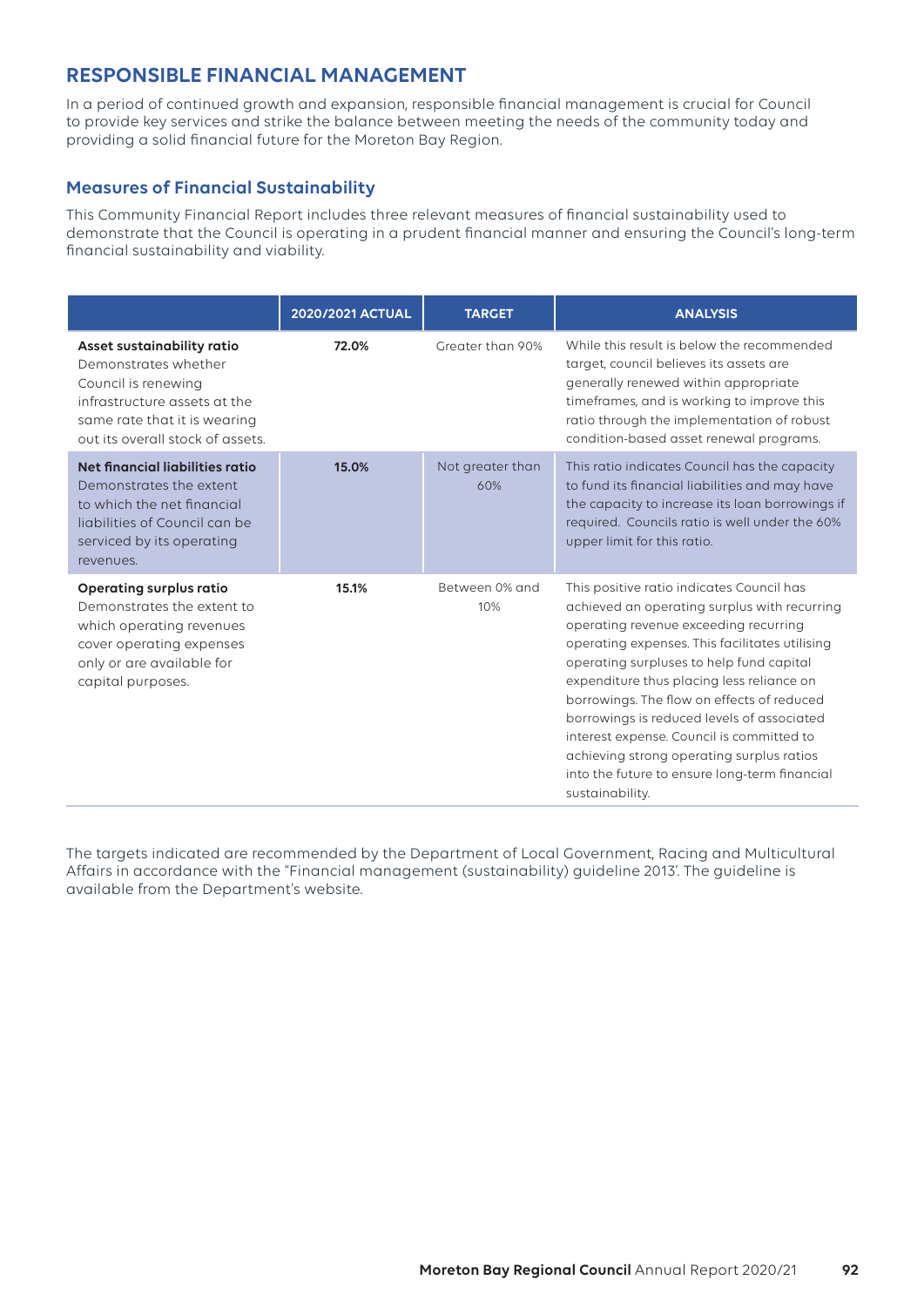# **RESPONSIBLE FINANCIAL MANAGEMENT**

In a period of continued growth and expansion, responsible financial management is crucial for Council to provide key services and strike the balance between meeting the needs of the community today and providing a solid financial future for the Moreton Bay Region.

## **Measures of Financial Sustainability**

This Community Financial Report includes three relevant measures of financial sustainability used to demonstrate that the Council is operating in a prudent financial manner and ensuring the Council's long-term financial sustainability and viability.

|                                                                                                                                                                               | 2020/2021 ACTUAL | <b>TARGET</b>           | <b>ANALYSIS</b>                                                                                                                                                                                                                                                                                                                                                                                                                                                                                                                         |
|-------------------------------------------------------------------------------------------------------------------------------------------------------------------------------|------------------|-------------------------|-----------------------------------------------------------------------------------------------------------------------------------------------------------------------------------------------------------------------------------------------------------------------------------------------------------------------------------------------------------------------------------------------------------------------------------------------------------------------------------------------------------------------------------------|
| Asset sustainability ratio<br>Demonstrates whether<br>Council is renewing<br>infrastructure assets at the<br>same rate that it is wearing<br>out its overall stock of assets. | 72.0%            | Greater than 90%        | While this result is below the recommended<br>target, council believes its assets are<br>generally renewed within appropriate<br>timeframes, and is working to improve this<br>ratio through the implementation of robust<br>condition-based asset renewal programs.                                                                                                                                                                                                                                                                    |
| Net financial liabilities ratio<br>Demonstrates the extent<br>to which the net financial<br>liabilities of Council can be<br>serviced by its operating<br>revenues.           | 15.0%            | Not greater than<br>60% | This ratio indicates Council has the capacity<br>to fund its financial liabilities and may have<br>the capacity to increase its loan borrowings if<br>required. Councils ratio is well under the 60%<br>upper limit for this ratio.                                                                                                                                                                                                                                                                                                     |
| <b>Operating surplus ratio</b><br>Demonstrates the extent to<br>which operating revenues<br>cover operating expenses<br>only or are available for<br>capital purposes.        | 15.1%            | Between 0% and<br>10%   | This positive ratio indicates Council has<br>achieved an operating surplus with recurring<br>operating revenue exceeding recurring<br>operating expenses. This facilitates utilising<br>operating surpluses to help fund capital<br>expenditure thus placing less reliance on<br>borrowings. The flow on effects of reduced<br>borrowings is reduced levels of associated<br>interest expense. Council is committed to<br>achieving strong operating surplus ratios<br>into the future to ensure long-term financial<br>sustainability. |

The targets indicated are recommended by the Department of Local Government, Racing and Multicultural Affairs in accordance with the "Financial management (sustainability) guideline 2013'. The guideline is available from the Department's website.